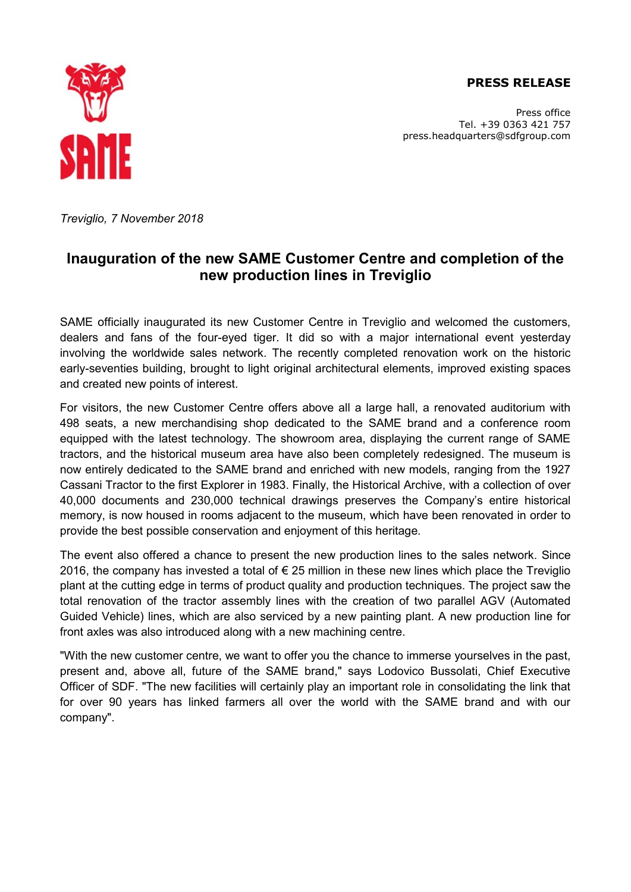## **PRESS RELEASE**



Press office Tel. +39 0363 421 757 press.headquarters@sdfgroup.com

*Treviglio, 7 November 2018* 

## **Inauguration of the new SAME Customer Centre and completion of the new production lines in Treviglio**

SAME officially inaugurated its new Customer Centre in Treviglio and welcomed the customers, dealers and fans of the four-eyed tiger. It did so with a major international event yesterday involving the worldwide sales network. The recently completed renovation work on the historic early-seventies building, brought to light original architectural elements, improved existing spaces and created new points of interest.

For visitors, the new Customer Centre offers above all a large hall, a renovated auditorium with 498 seats, a new merchandising shop dedicated to the SAME brand and a conference room equipped with the latest technology. The showroom area, displaying the current range of SAME tractors, and the historical museum area have also been completely redesigned. The museum is now entirely dedicated to the SAME brand and enriched with new models, ranging from the 1927 Cassani Tractor to the first Explorer in 1983. Finally, the Historical Archive, with a collection of over 40,000 documents and 230,000 technical drawings preserves the Company's entire historical memory, is now housed in rooms adjacent to the museum, which have been renovated in order to provide the best possible conservation and enjoyment of this heritage.

The event also offered a chance to present the new production lines to the sales network. Since 2016, the company has invested a total of  $\epsilon$  25 million in these new lines which place the Treviglio plant at the cutting edge in terms of product quality and production techniques. The project saw the total renovation of the tractor assembly lines with the creation of two parallel AGV (Automated Guided Vehicle) lines, which are also serviced by a new painting plant. A new production line for front axles was also introduced along with a new machining centre.

"With the new customer centre, we want to offer you the chance to immerse yourselves in the past, present and, above all, future of the SAME brand," says Lodovico Bussolati, Chief Executive Officer of SDF. "The new facilities will certainly play an important role in consolidating the link that for over 90 years has linked farmers all over the world with the SAME brand and with our company".